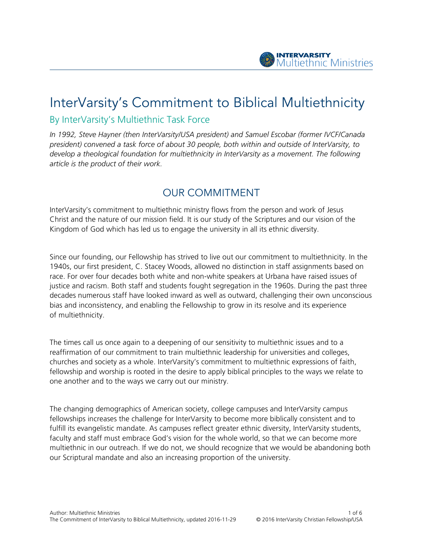

# InterVarsity's Commitment to Biblical Multiethnicity By InterVarsity's Multiethnic Task Force

*In 1992, Steve Hayner (then InterVarsity/USA president) and Samuel Escobar (former IVCF/Canada president) convened a task force of about 30 people, both within and outside of InterVarsity, to develop a theological foundation for multiethnicity in InterVarsity as a movement. The following article is the product of their work.*

## OUR COMMITMENT

InterVarsity's commitment to multiethnic ministry flows from the person and work of Jesus Christ and the nature of our mission field. It is our study of the Scriptures and our vision of the Kingdom of God which has led us to engage the university in all its ethnic diversity.

Since our founding, our Fellowship has strived to live out our commitment to multiethnicity. In the 1940s, our first president, C. Stacey Woods, allowed no distinction in staff assignments based on race. For over four decades both white and non-white speakers at Urbana have raised issues of justice and racism. Both staff and students fought segregation in the 1960s. During the past three decades numerous staff have looked inward as well as outward, challenging their own unconscious bias and inconsistency, and enabling the Fellowship to grow in its resolve and its experience of multiethnicity.

The times call us once again to a deepening of our sensitivity to multiethnic issues and to a reaffirmation of our commitment to train multiethnic leadership for universities and colleges, churches and society as a whole. InterVarsity's commitment to multiethnic expressions of faith, fellowship and worship is rooted in the desire to apply biblical principles to the ways we relate to one another and to the ways we carry out our ministry.

The changing demographics of American society, college campuses and InterVarsity campus fellowships increases the challenge for InterVarsity to become more biblically consistent and to fulfill its evangelistic mandate. As campuses reflect greater ethnic diversity, InterVarsity students, faculty and staff must embrace God's vision for the whole world, so that we can become more multiethnic in our outreach. If we do not, we should recognize that we would be abandoning both our Scriptural mandate and also an increasing proportion of the university.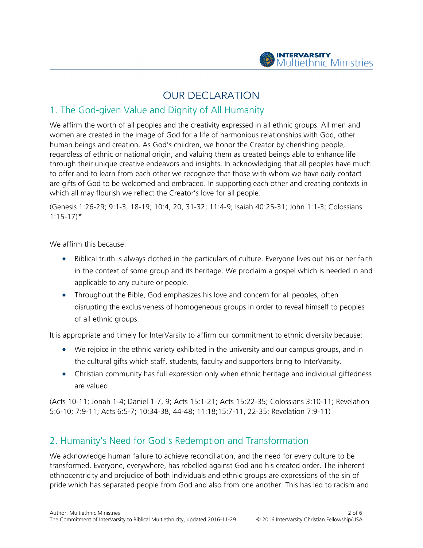

## OUR DECLARATION

#### 1. The God-given Value and Dignity of All Humanity

We affirm the worth of all peoples and the creativity expressed in all ethnic groups. All men and women are created in the image of God for a life of harmonious relationships with God, other human beings and creation. As God's children, we honor the Creator by cherishing people, regardless of ethnic or national origin, and valuing them as created beings able to enhance life through their unique creative endeavors and insights. In acknowledging that all peoples have much to offer and to learn from each other we recognize that those with whom we have daily contact are gifts of God to be welcomed and embraced. In supporting each other and creating contexts in which all may flourish we reflect the Creator's love for all people.

(Genesis 1:26-29; 9:1-3, 18-19; 10:4, 20, 31-32; 11:4-9; Isaiah 40:25-31; John 1:1-3; Colossians  $1:15-17$ <sup>\*</sup>

We affirm this because:

- Biblical truth is always clothed in the particulars of culture. Everyone lives out his or her faith in the context of some group and its heritage. We proclaim a gospel which is needed in and applicable to any culture or people.
- Throughout the Bible, God emphasizes his love and concern for all peoples, often disrupting the exclusiveness of homogeneous groups in order to reveal himself to peoples of all ethnic groups.

It is appropriate and timely for InterVarsity to affirm our commitment to ethnic diversity because:

- We rejoice in the ethnic variety exhibited in the university and our campus groups, and in the cultural gifts which staff, students, faculty and supporters bring to InterVarsity.
- Christian community has full expression only when ethnic heritage and individual giftedness are valued.

(Acts 10-11; Jonah 1-4; Daniel 1-7, 9; Acts 15:1-21; Acts 15:22-35; Colossians 3:10-11; Revelation 5:6-10; 7:9-11; Acts 6:5-7; 10:34-38, 44-48; 11:18;15:7-11, 22-35; Revelation 7:9-11)

#### 2. Humanity's Need for God's Redemption and Transformation

We acknowledge human failure to achieve reconciliation, and the need for every culture to be transformed. Everyone, everywhere, has rebelled against God and his created order. The inherent ethnocentricity and prejudice of both individuals and ethnic groups are expressions of the sin of pride which has separated people from God and also from one another. This has led to racism and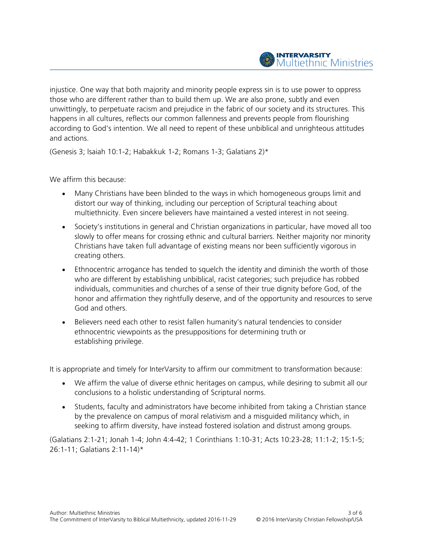injustice. One way that both majority and minority people express sin is to use power to oppress those who are different rather than to build them up. We are also prone, subtly and even unwittingly, to perpetuate racism and prejudice in the fabric of our society and its structures. This happens in all cultures, reflects our common fallenness and prevents people from flourishing according to God's intention. We all need to repent of these unbiblical and unrighteous attitudes and actions.

(Genesis 3; lsaiah 10:1-2; Habakkuk 1-2; Romans 1-3; Galatians 2)\*

We affirm this because:

- Many Christians have been blinded to the ways in which homogeneous groups limit and distort our way of thinking, including our perception of Scriptural teaching about multiethnicity. Even sincere believers have maintained a vested interest in not seeing.
- Society's institutions in general and Christian organizations in particular, have moved all too slowly to offer means for crossing ethnic and cultural barriers. Neither majority nor minority Christians have taken full advantage of existing means nor been sufficiently vigorous in creating others.
- Ethnocentric arrogance has tended to squelch the identity and diminish the worth of those who are different by establishing unbiblical, racist categories; such prejudice has robbed individuals, communities and churches of a sense of their true dignity before God, of the honor and affirmation they rightfully deserve, and of the opportunity and resources to serve God and others.
- Believers need each other to resist fallen humanity's natural tendencies to consider ethnocentric viewpoints as the presuppositions for determining truth or establishing privilege.

It is appropriate and timely for InterVarsity to affirm our commitment to transformation because:

- We affirm the value of diverse ethnic heritages on campus, while desiring to submit all our conclusions to a holistic understanding of Scriptural norms.
- Students, faculty and administrators have become inhibited from taking a Christian stance by the prevalence on campus of moral relativism and a misguided militancy which, in seeking to affirm diversity, have instead fostered isolation and distrust among groups.

(Galatians 2:1-21; Jonah 1-4; John 4:4-42; 1 Corinthians 1:10-31; Acts 10:23-28; 11:1-2; 15:1-5; 26:1-11; Galatians 2:11-14)\*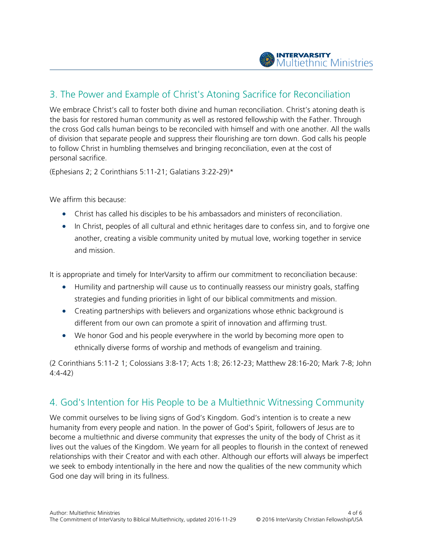# 3. The Power and Example of Christ's Atoning Sacrifice for Reconciliation

We embrace Christ's call to foster both divine and human reconciliation. Christ's atoning death is the basis for restored human community as well as restored fellowship with the Father. Through the cross God calls human beings to be reconciled with himself and with one another. All the walls of division that separate people and suppress their flourishing are torn down. God calls his people to follow Christ in humbling themselves and bringing reconciliation, even at the cost of personal sacrifice.

(Ephesians 2; 2 Corinthians 5:11-21; Galatians 3:22-29)\*

We affirm this because:

- Christ has called his disciples to be his ambassadors and ministers of reconciliation.
- In Christ, peoples of all cultural and ethnic heritages dare to confess sin, and to forgive one another, creating a visible community united by mutual love, working together in service and mission.

It is appropriate and timely for InterVarsity to affirm our commitment to reconciliation because:

- Humility and partnership will cause us to continually reassess our ministry goals, staffing strategies and funding priorities in light of our biblical commitments and mission.
- Creating partnerships with believers and organizations whose ethnic background is different from our own can promote a spirit of innovation and affirming trust.
- We honor God and his people everywhere in the world by becoming more open to ethnically diverse forms of worship and methods of evangelism and training.

(2 Corinthians 5:11-2 1; Colossians 3:8-17; Acts 1:8; 26:12-23; Matthew 28:16-20; Mark 7-8; John 4:4-42)

### 4. God's Intention for His People to be a Multiethnic Witnessing Community

We commit ourselves to be living signs of God's Kingdom. God's intention is to create a new humanity from every people and nation. In the power of God's Spirit, followers of Jesus are to become a multiethnic and diverse community that expresses the unity of the body of Christ as it lives out the values of the Kingdom. We yearn for all peoples to flourish in the context of renewed relationships with their Creator and with each other. Although our efforts will always be imperfect we seek to embody intentionally in the here and now the qualities of the new community which God one day will bring in its fullness.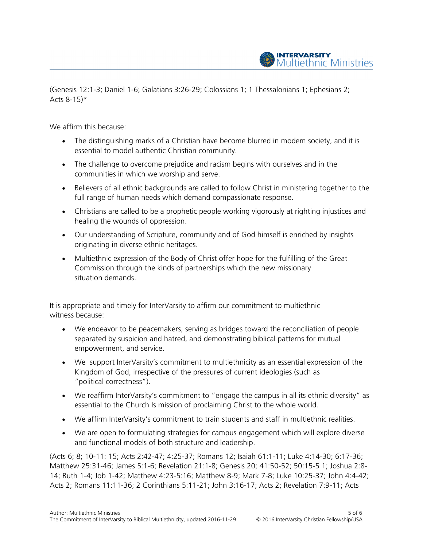

(Genesis 12:1-3; Daniel 1-6; Galatians 3:26-29; Colossians 1; 1 Thessalonians 1; Ephesians 2; Acts  $8-15$ <sup>\*</sup>

We affirm this because:

- The distinguishing marks of a Christian have become blurred in modem society, and it is essential to model authentic Christian community.
- The challenge to overcome prejudice and racism begins with ourselves and in the communities in which we worship and serve.
- Believers of all ethnic backgrounds are called to follow Christ in ministering together to the full range of human needs which demand compassionate response.
- Christians are called to be a prophetic people working vigorously at righting injustices and healing the wounds of oppression.
- Our understanding of Scripture, community and of God himself is enriched by insights originating in diverse ethnic heritages.
- Multiethnic expression of the Body of Christ offer hope for the fulfilling of the Great Commission through the kinds of partnerships which the new missionary situation demands.

It is appropriate and timely for InterVarsity to affirm our commitment to multiethnic witness because:

- We endeavor to be peacemakers, serving as bridges toward the reconciliation of people separated by suspicion and hatred, and demonstrating biblical patterns for mutual empowerment, and service.
- We support InterVarsity's commitment to multiethnicity as an essential expression of the Kingdom of God, irrespective of the pressures of current ideologies (such as "political correctness").
- We reaffirm InterVarsity's commitment to "engage the campus in all its ethnic diversity" as essential to the Church Is mission of proclaiming Christ to the whole world.
- We affirm InterVarsity's commitment to train students and staff in multiethnic realities.
- We are open to formulating strategies for campus engagement which will explore diverse and functional models of both structure and leadership.

(Acts 6; 8; 10-11: 15; Acts 2:42-47; 4:25-37; Romans 12; Isaiah 61:1-11; Luke 4:14-30; 6:17-36; Matthew 25:31-46; James 5:1-6; Revelation 21:1-8; Genesis 20; 41:50-52; 50:15-5 1; Joshua 2:8- 14; Ruth 1-4; Job 1-42; Matthew 4:23-5:16; Matthew 8-9; Mark 7-8; Luke 10:25-37; John 4:4-42; Acts 2; Romans 11:11-36; 2 Corinthians 5:11-21; John 3:16-17; Acts 2; Revelation 7:9-11; Acts